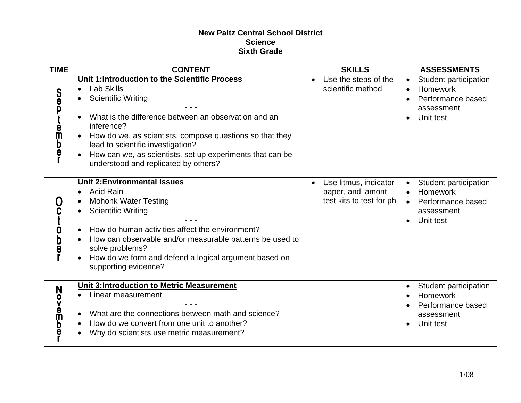## **New Paltz Central School District Science Sixth Grade**

| <b>TIME</b>                           | <b>CONTENT</b>                                                                                                                                                                                                                                                                                                                                                                                         | <b>SKILLS</b>                                                                       | <b>ASSESSMENTS</b>                                                                                                                    |
|---------------------------------------|--------------------------------------------------------------------------------------------------------------------------------------------------------------------------------------------------------------------------------------------------------------------------------------------------------------------------------------------------------------------------------------------------------|-------------------------------------------------------------------------------------|---------------------------------------------------------------------------------------------------------------------------------------|
| <b>Sep</b><br>e<br>m<br><b>b</b><br>e | Unit 1: Introduction to the Scientific Process<br><b>Lab Skills</b><br>$\bullet$<br><b>Scientific Writing</b><br>$\bullet$<br>What is the difference between an observation and an<br>inference?<br>How do we, as scientists, compose questions so that they<br>lead to scientific investigation?<br>How can we, as scientists, set up experiments that can be<br>understood and replicated by others? | Use the steps of the<br>$\bullet$<br>scientific method                              | Student participation<br>$\bullet$<br>Homework<br>Performance based<br>assessment<br>Unit test                                        |
| Der<br>P                              | <b>Unit 2:Environmental Issues</b><br><b>Acid Rain</b><br>$\bullet$<br><b>Mohonk Water Testing</b><br><b>Scientific Writing</b><br>$\bullet$<br>How do human activities affect the environment?<br>How can observable and/or measurable patterns be used to<br>solve problems?<br>How do we form and defend a logical argument based on<br>supporting evidence?                                        | Use litmus, indicator<br>$\bullet$<br>paper, and lamont<br>test kits to test for ph | Student participation<br>$\bullet$<br>Homework<br>$\bullet$<br>Performance based<br>$\bullet$<br>assessment<br>Unit test<br>$\bullet$ |
| N<br>ovember                          | <b>Unit 3:Introduction to Metric Measurement</b><br>Linear measurement<br>What are the connections between math and science?<br>How do we convert from one unit to another?<br>$\bullet$<br>Why do scientists use metric measurement?                                                                                                                                                                  |                                                                                     | Student participation<br><b>Homework</b><br>Performance based<br>assessment<br>Unit test                                              |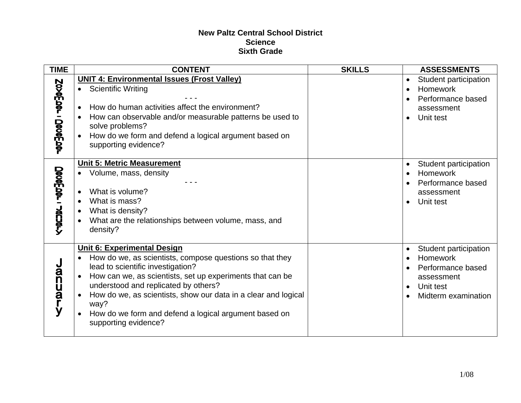## **New Paltz Central School District Science Sixth Grade**

| <b>TIME</b>             | <b>CONTENT</b>                                                                                                                                                                                                                                                                                                                                                                                                   | <b>SKILLS</b> | <b>ASSESSMENTS</b>                                                                                                    |
|-------------------------|------------------------------------------------------------------------------------------------------------------------------------------------------------------------------------------------------------------------------------------------------------------------------------------------------------------------------------------------------------------------------------------------------------------|---------------|-----------------------------------------------------------------------------------------------------------------------|
| NONOEDU1000ED01         | <b>UNIT 4: Environmental Issues (Frost Valley)</b><br>• Scientific Writing<br>How do human activities affect the environment?<br>How can observable and/or measurable patterns be used to<br>solve problems?<br>How do we form and defend a logical argument based on<br>supporting evidence?                                                                                                                    |               | Student participation<br>Homework<br>Performance based<br>assessment<br>Unit test                                     |
| <b>Decement - Jacht</b> | <b>Unit 5: Metric Measurement</b><br>Volume, mass, density<br>What is volume?<br>What is mass?<br>What is density?<br>$\bullet$<br>What are the relationships between volume, mass, and<br>density?                                                                                                                                                                                                              |               | Student participation<br>Homework<br>Performance based<br>assessment<br>Unit test                                     |
| <b>Januar</b><br>ÿ      | <b>Unit 6: Experimental Design</b><br>How do we, as scientists, compose questions so that they<br>$\bullet$<br>lead to scientific investigation?<br>How can we, as scientists, set up experiments that can be<br>understood and replicated by others?<br>How do we, as scientists, show our data in a clear and logical<br>way?<br>How do we form and defend a logical argument based on<br>supporting evidence? |               | Student participation<br>Homework<br>Performance based<br>assessment<br>Unit test<br>$\bullet$<br>Midterm examination |